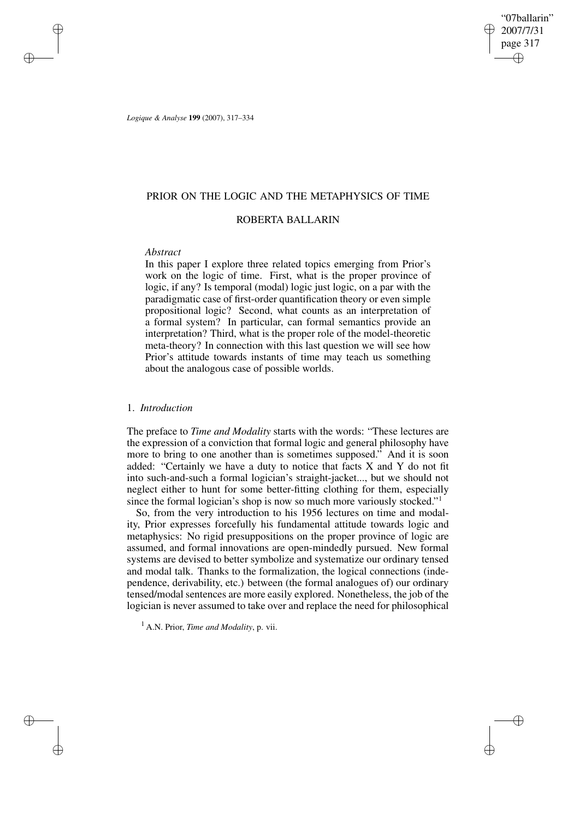"07ballarin" 2007/7/31 page 317 ✐ ✐

✐

✐

*Logique & Analyse* **199** (2007), 317–334

### PRIOR ON THE LOGIC AND THE METAPHYSICS OF TIME

## ROBERTA BALLARIN

### *Abstract*

✐

✐

✐

✐

In this paper I explore three related topics emerging from Prior's work on the logic of time. First, what is the proper province of logic, if any? Is temporal (modal) logic just logic, on a par with the paradigmatic case of first-order quantification theory or even simple propositional logic? Second, what counts as an interpretation of a formal system? In particular, can formal semantics provide an interpretation? Third, what is the proper role of the model-theoretic meta-theory? In connection with this last question we will see how Prior's attitude towards instants of time may teach us something about the analogous case of possible worlds.

### 1. *Introduction*

The preface to *Time and Modality* starts with the words: "These lectures are the expression of a conviction that formal logic and general philosophy have more to bring to one another than is sometimes supposed." And it is soon added: "Certainly we have a duty to notice that facts X and Y do not fit into such-and-such a formal logician's straight-jacket..., but we should not neglect either to hunt for some better-fitting clothing for them, especially since the formal logician's shop is now so much more variously stocked."<sup>1</sup>

So, from the very introduction to his 1956 lectures on time and modality, Prior expresses forcefully his fundamental attitude towards logic and metaphysics: No rigid presuppositions on the proper province of logic are assumed, and formal innovations are open-mindedly pursued. New formal systems are devised to better symbolize and systematize our ordinary tensed and modal talk. Thanks to the formalization, the logical connections (independence, derivability, etc.) between (the formal analogues of) our ordinary tensed/modal sentences are more easily explored. Nonetheless, the job of the logician is never assumed to take over and replace the need for philosophical

<sup>1</sup> A.N. Prior, *Time and Modality*, p. vii.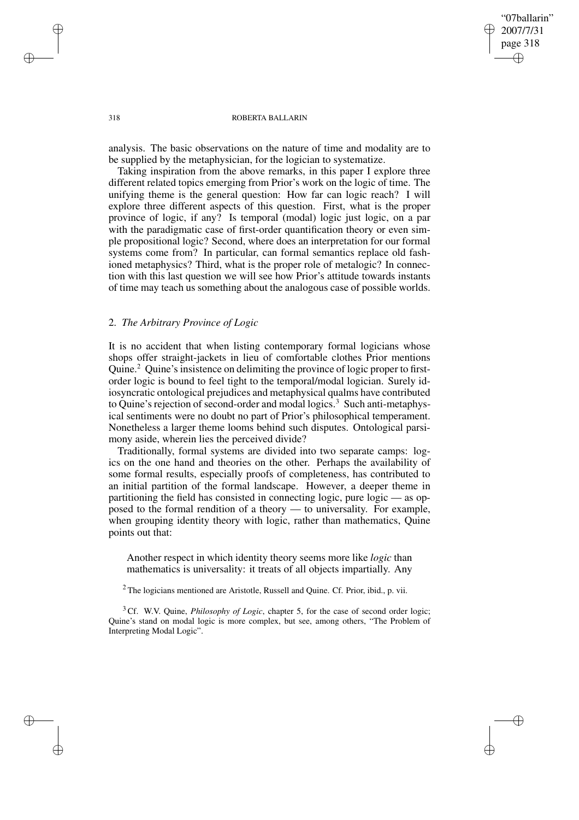"07ballarin" 2007/7/31 page 318 ✐ ✐

✐

✐

### 318 ROBERTA BALLARIN

analysis. The basic observations on the nature of time and modality are to be supplied by the metaphysician, for the logician to systematize.

Taking inspiration from the above remarks, in this paper I explore three different related topics emerging from Prior's work on the logic of time. The unifying theme is the general question: How far can logic reach? I will explore three different aspects of this question. First, what is the proper province of logic, if any? Is temporal (modal) logic just logic, on a par with the paradigmatic case of first-order quantification theory or even simple propositional logic? Second, where does an interpretation for our formal systems come from? In particular, can formal semantics replace old fashioned metaphysics? Third, what is the proper role of metalogic? In connection with this last question we will see how Prior's attitude towards instants of time may teach us something about the analogous case of possible worlds.

# 2. *The Arbitrary Province of Logic*

It is no accident that when listing contemporary formal logicians whose shops offer straight-jackets in lieu of comfortable clothes Prior mentions Quine.<sup>2</sup> Quine's insistence on delimiting the province of logic proper to firstorder logic is bound to feel tight to the temporal/modal logician. Surely idiosyncratic ontological prejudices and metaphysical qualms have contributed to Quine's rejection of second-order and modal logics.<sup>3</sup> Such anti-metaphysical sentiments were no doubt no part of Prior's philosophical temperament. Nonetheless a larger theme looms behind such disputes. Ontological parsimony aside, wherein lies the perceived divide?

Traditionally, formal systems are divided into two separate camps: logics on the one hand and theories on the other. Perhaps the availability of some formal results, especially proofs of completeness, has contributed to an initial partition of the formal landscape. However, a deeper theme in partitioning the field has consisted in connecting logic, pure logic — as opposed to the formal rendition of a theory — to universality. For example, when grouping identity theory with logic, rather than mathematics, Quine points out that:

Another respect in which identity theory seems more like *logic* than mathematics is universality: it treats of all objects impartially. Any

<sup>2</sup> The logicians mentioned are Aristotle, Russell and Quine. Cf. Prior, ibid., p. vii.

<sup>3</sup> Cf. W.V. Quine, *Philosophy of Logic*, chapter 5, for the case of second order logic; Quine's stand on modal logic is more complex, but see, among others, "The Problem of Interpreting Modal Logic".

✐

✐

✐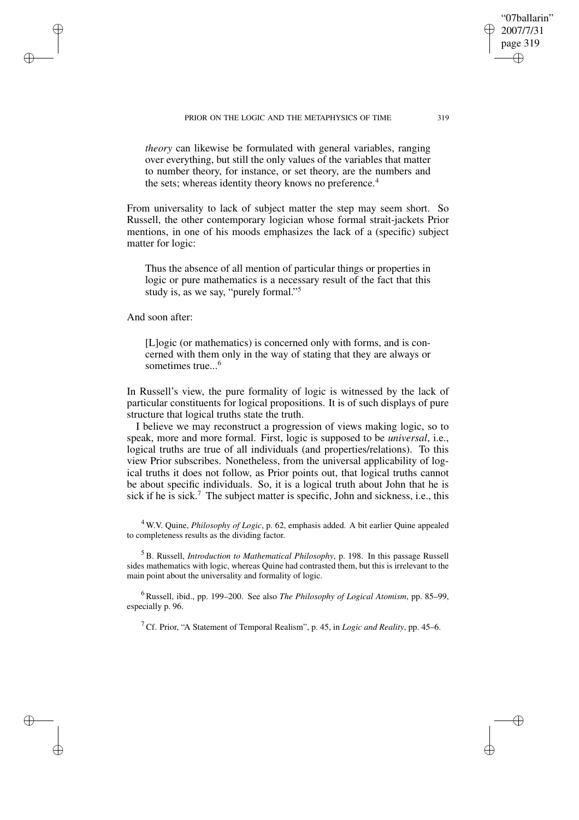PRIOR ON THE LOGIC AND THE METAPHYSICS OF TIME 319

*theory* can likewise be formulated with general variables, ranging over everything, but still the only values of the variables that matter to number theory, for instance, or set theory, are the numbers and the sets; whereas identity theory knows no preference.<sup>4</sup>

From universality to lack of subject matter the step may seem short. So Russell, the other contemporary logician whose formal strait-jackets Prior mentions, in one of his moods emphasizes the lack of a (specific) subject matter for logic:

Thus the absence of all mention of particular things or properties in logic or pure mathematics is a necessary result of the fact that this study is, as we say, "purely formal."<sup>5</sup>

And soon after:

✐

✐

✐

✐

[L]ogic (or mathematics) is concerned only with forms, and is concerned with them only in the way of stating that they are always or sometimes true...<sup>6</sup>

In Russell's view, the pure formality of logic is witnessed by the lack of particular constituents for logical propositions. It is of such displays of pure structure that logical truths state the truth.

I believe we may reconstruct a progression of views making logic, so to speak, more and more formal. First, logic is supposed to be *universal*, i.e., logical truths are true of all individuals (and properties/relations). To this view Prior subscribes. Nonetheless, from the universal applicability of logical truths it does not follow, as Prior points out, that logical truths cannot be about specific individuals. So, it is a logical truth about John that he is sick if he is sick.<sup>7</sup> The subject matter is specific, John and sickness, i.e., this

<sup>4</sup> W.V. Quine, *Philosophy of Logic*, p. 62, emphasis added. A bit earlier Quine appealed to completeness results as the dividing factor.

<sup>5</sup> B. Russell, *Introduction to Mathematical Philosophy*, p. 198. In this passage Russell sides mathematics with logic, whereas Quine had contrasted them, but this is irrelevant to the main point about the universality and formality of logic.

<sup>6</sup> Russell, ibid., pp. 199–200. See also *The Philosophy of Logical Atomism*, pp. 85–99, especially p. 96.

<sup>7</sup> Cf. Prior, "A Statement of Temporal Realism", p. 45, in *Logic and Reality*, pp. 45–6.

"07ballarin" 2007/7/31 page 319

✐

✐

✐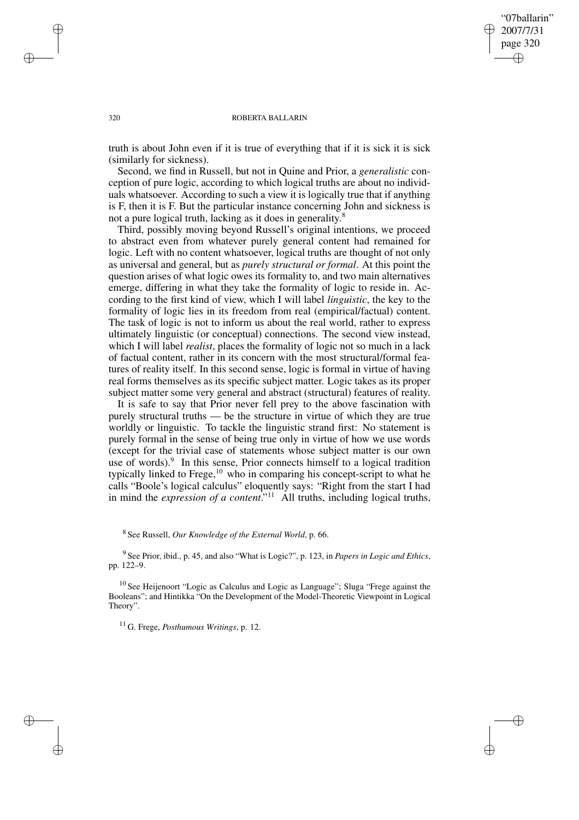"07ballarin" 2007/7/31 page 320 ✐ ✐

✐

✐

#### 320 ROBERTA BALLARIN

truth is about John even if it is true of everything that if it is sick it is sick (similarly for sickness).

Second, we find in Russell, but not in Quine and Prior, a *generalistic* conception of pure logic, according to which logical truths are about no individuals whatsoever. According to such a view it is logically true that if anything is F, then it is F. But the particular instance concerning John and sickness is not a pure logical truth, lacking as it does in generality.<sup>8</sup>

Third, possibly moving beyond Russell's original intentions, we proceed to abstract even from whatever purely general content had remained for logic. Left with no content whatsoever, logical truths are thought of not only as universal and general, but as *purely structural or formal*. At this point the question arises of what logic owes its formality to, and two main alternatives emerge, differing in what they take the formality of logic to reside in. According to the first kind of view, which I will label *linguistic*, the key to the formality of logic lies in its freedom from real (empirical/factual) content. The task of logic is not to inform us about the real world, rather to express ultimately linguistic (or conceptual) connections. The second view instead, which I will label *realist*, places the formality of logic not so much in a lack of factual content, rather in its concern with the most structural/formal features of reality itself. In this second sense, logic is formal in virtue of having real forms themselves as its specific subject matter. Logic takes as its proper subject matter some very general and abstract (structural) features of reality.

It is safe to say that Prior never fell prey to the above fascination with purely structural truths — be the structure in virtue of which they are true worldly or linguistic. To tackle the linguistic strand first: No statement is purely formal in the sense of being true only in virtue of how we use words (except for the trivial case of statements whose subject matter is our own use of words).<sup>9</sup> In this sense, Prior connects himself to a logical tradition typically linked to Frege, $10$  who in comparing his concept-script to what he calls "Boole's logical calculus" eloquently says: "Right from the start I had in mind the *expression of a content*." <sup>11</sup> All truths, including logical truths,

8 See Russell, *Our Knowledge of the External World*, p. 66.

9 See Prior, ibid., p. 45, and also "What is Logic?", p. 123, in *Papers in Logic and Ethics*, pp. 122–9.

<sup>10</sup> See Heijenoort "Logic as Calculus and Logic as Language"; Sluga "Frege against the Booleans"; and Hintikka "On the Development of the Model-Theoretic Viewpoint in Logical Theory".

<sup>11</sup> G. Frege, *Posthumous Writings*, p. 12.

✐

✐

✐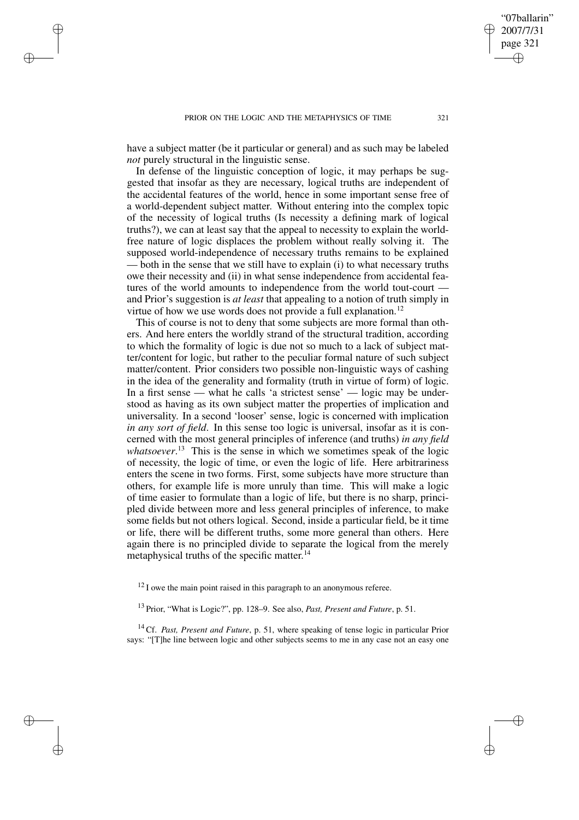✐

✐

✐

have a subject matter (be it particular or general) and as such may be labeled *not* purely structural in the linguistic sense.

In defense of the linguistic conception of logic, it may perhaps be suggested that insofar as they are necessary, logical truths are independent of the accidental features of the world, hence in some important sense free of a world-dependent subject matter. Without entering into the complex topic of the necessity of logical truths (Is necessity a defining mark of logical truths?), we can at least say that the appeal to necessity to explain the worldfree nature of logic displaces the problem without really solving it. The supposed world-independence of necessary truths remains to be explained — both in the sense that we still have to explain (i) to what necessary truths owe their necessity and (ii) in what sense independence from accidental features of the world amounts to independence from the world tout-court and Prior's suggestion is *at least* that appealing to a notion of truth simply in virtue of how we use words does not provide a full explanation.<sup>12</sup>

This of course is not to deny that some subjects are more formal than others. And here enters the worldly strand of the structural tradition, according to which the formality of logic is due not so much to a lack of subject matter/content for logic, but rather to the peculiar formal nature of such subject matter/content. Prior considers two possible non-linguistic ways of cashing in the idea of the generality and formality (truth in virtue of form) of logic. In a first sense — what he calls 'a strictest sense' — logic may be understood as having as its own subject matter the properties of implication and universality. In a second 'looser' sense, logic is concerned with implication *in any sort of field*. In this sense too logic is universal, insofar as it is concerned with the most general principles of inference (and truths) *in any field whatsoever*. <sup>13</sup> This is the sense in which we sometimes speak of the logic of necessity, the logic of time, or even the logic of life. Here arbitrariness enters the scene in two forms. First, some subjects have more structure than others, for example life is more unruly than time. This will make a logic of time easier to formulate than a logic of life, but there is no sharp, principled divide between more and less general principles of inference, to make some fields but not others logical. Second, inside a particular field, be it time or life, there will be different truths, some more general than others. Here again there is no principled divide to separate the logical from the merely metaphysical truths of the specific matter. 14

 $12$  I owe the main point raised in this paragraph to an anonymous referee.

<sup>13</sup> Prior, "What is Logic?", pp. 128–9. See also, *Past, Present and Future*, p. 51.

<sup>14</sup> Cf. *Past, Present and Future*, p. 51, where speaking of tense logic in particular Prior says: "[T]he line between logic and other subjects seems to me in any case not an easy one

"07ballarin" 2007/7/31 page 321

✐

✐

✐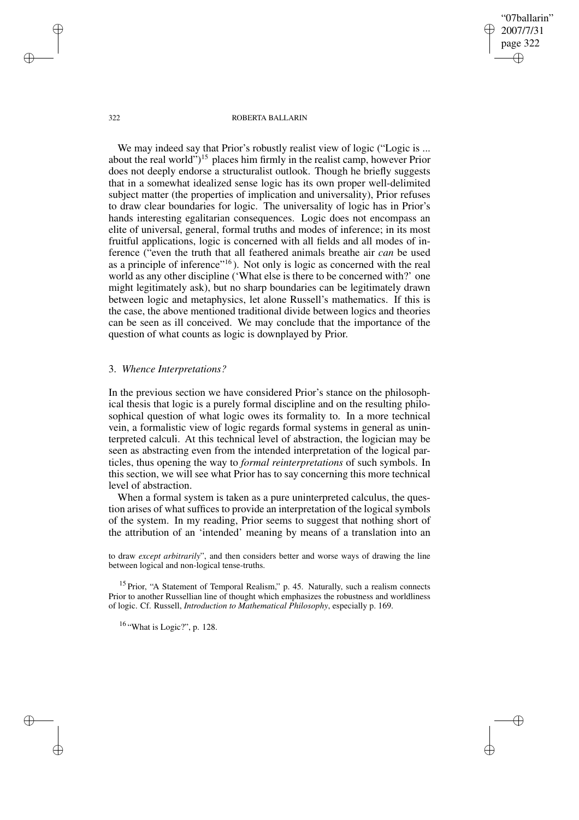"07ballarin" 2007/7/31 page 322 ✐ ✐

✐

✐

#### 322 ROBERTA BALLARIN

We may indeed say that Prior's robustly realist view of logic ("Logic is ... about the real world")<sup>15</sup> places him firmly in the realist camp, however Prior does not deeply endorse a structuralist outlook. Though he briefly suggests that in a somewhat idealized sense logic has its own proper well-delimited subject matter (the properties of implication and universality), Prior refuses to draw clear boundaries for logic. The universality of logic has in Prior's hands interesting egalitarian consequences. Logic does not encompass an elite of universal, general, formal truths and modes of inference; in its most fruitful applications, logic is concerned with all fields and all modes of inference ("even the truth that all feathered animals breathe air *can* be used as a principle of inference"<sup>16</sup>). Not only is logic as concerned with the real world as any other discipline ('What else is there to be concerned with?' one might legitimately ask), but no sharp boundaries can be legitimately drawn between logic and metaphysics, let alone Russell's mathematics. If this is the case, the above mentioned traditional divide between logics and theories can be seen as ill conceived. We may conclude that the importance of the question of what counts as logic is downplayed by Prior.

# 3. *Whence Interpretations?*

In the previous section we have considered Prior's stance on the philosophical thesis that logic is a purely formal discipline and on the resulting philosophical question of what logic owes its formality to. In a more technical vein, a formalistic view of logic regards formal systems in general as uninterpreted calculi. At this technical level of abstraction, the logician may be seen as abstracting even from the intended interpretation of the logical particles, thus opening the way to *formal reinterpretations* of such symbols. In this section, we will see what Prior has to say concerning this more technical level of abstraction.

When a formal system is taken as a pure uninterpreted calculus, the question arises of what suffices to provide an interpretation of the logical symbols of the system. In my reading, Prior seems to suggest that nothing short of the attribution of an 'intended' meaning by means of a translation into an

to draw *except arbitrarily*", and then considers better and worse ways of drawing the line between logical and non-logical tense-truths.

<sup>15</sup> Prior, "A Statement of Temporal Realism," p. 45. Naturally, such a realism connects Prior to another Russellian line of thought which emphasizes the robustness and worldliness of logic. Cf. Russell, *Introduction to Mathematical Philosophy*, especially p. 169.

<sup>16</sup> "What is Logic?", p. 128.

✐

✐

✐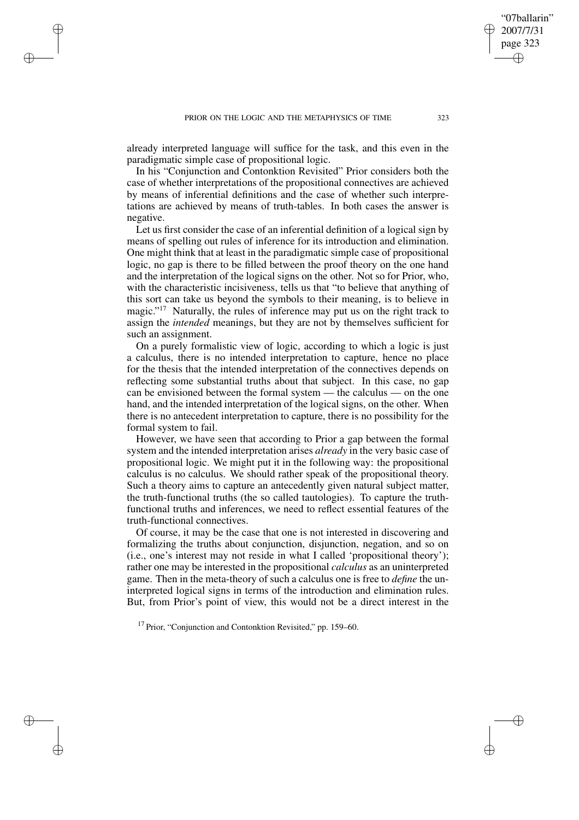✐

✐

✐

already interpreted language will suffice for the task, and this even in the paradigmatic simple case of propositional logic.

In his "Conjunction and Contonktion Revisited" Prior considers both the case of whether interpretations of the propositional connectives are achieved by means of inferential definitions and the case of whether such interpretations are achieved by means of truth-tables. In both cases the answer is negative.

Let us first consider the case of an inferential definition of a logical sign by means of spelling out rules of inference for its introduction and elimination. One might think that at least in the paradigmatic simple case of propositional logic, no gap is there to be filled between the proof theory on the one hand and the interpretation of the logical signs on the other. Not so for Prior, who, with the characteristic incisiveness, tells us that "to believe that anything of this sort can take us beyond the symbols to their meaning, is to believe in magic."<sup>17</sup> Naturally, the rules of inference may put us on the right track to assign the *intended* meanings, but they are not by themselves sufficient for such an assignment.

On a purely formalistic view of logic, according to which a logic is just a calculus, there is no intended interpretation to capture, hence no place for the thesis that the intended interpretation of the connectives depends on reflecting some substantial truths about that subject. In this case, no gap can be envisioned between the formal system — the calculus — on the one hand, and the intended interpretation of the logical signs, on the other. When there is no antecedent interpretation to capture, there is no possibility for the formal system to fail.

However, we have seen that according to Prior a gap between the formal system and the intended interpretation arises *already* in the very basic case of propositional logic. We might put it in the following way: the propositional calculus is no calculus. We should rather speak of the propositional theory. Such a theory aims to capture an antecedently given natural subject matter, the truth-functional truths (the so called tautologies). To capture the truthfunctional truths and inferences, we need to reflect essential features of the truth-functional connectives.

Of course, it may be the case that one is not interested in discovering and formalizing the truths about conjunction, disjunction, negation, and so on (i.e., one's interest may not reside in what I called 'propositional theory'); rather one may be interested in the propositional *calculus* as an uninterpreted game. Then in the meta-theory of such a calculus one is free to *define* the uninterpreted logical signs in terms of the introduction and elimination rules. But, from Prior's point of view, this would not be a direct interest in the

"07ballarin" 2007/7/31 page 323

✐

✐

✐

 $17$  Prior, "Conjunction and Contonktion Revisited," pp. 159–60.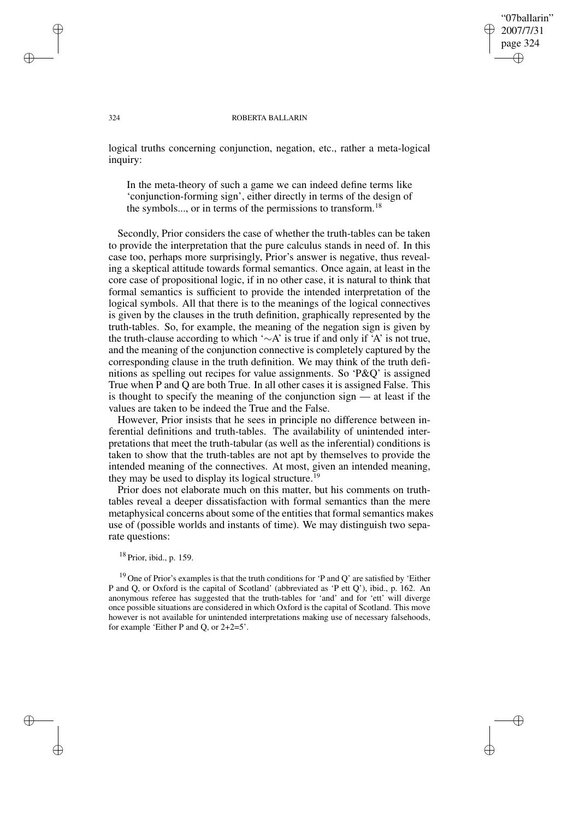### "07ballarin" 2007/7/31 page 324 ✐ ✐

✐

✐

#### 324 ROBERTA BALLARIN

logical truths concerning conjunction, negation, etc., rather a meta-logical inquiry:

In the meta-theory of such a game we can indeed define terms like 'conjunction-forming sign', either directly in terms of the design of the symbols..., or in terms of the permissions to transform.<sup>18</sup>

Secondly, Prior considers the case of whether the truth-tables can be taken to provide the interpretation that the pure calculus stands in need of. In this case too, perhaps more surprisingly, Prior's answer is negative, thus revealing a skeptical attitude towards formal semantics. Once again, at least in the core case of propositional logic, if in no other case, it is natural to think that formal semantics is sufficient to provide the intended interpretation of the logical symbols. All that there is to the meanings of the logical connectives is given by the clauses in the truth definition, graphically represented by the truth-tables. So, for example, the meaning of the negation sign is given by the truth-clause according to which '∼A' is true if and only if 'A' is not true, and the meaning of the conjunction connective is completely captured by the corresponding clause in the truth definition. We may think of the truth definitions as spelling out recipes for value assignments. So 'P&Q' is assigned True when P and Q are both True. In all other cases it is assigned False. This is thought to specify the meaning of the conjunction sign — at least if the values are taken to be indeed the True and the False.

However, Prior insists that he sees in principle no difference between inferential definitions and truth-tables. The availability of unintended interpretations that meet the truth-tabular (as well as the inferential) conditions is taken to show that the truth-tables are not apt by themselves to provide the intended meaning of the connectives. At most, given an intended meaning, they may be used to display its logical structure.<sup>19</sup>

Prior does not elaborate much on this matter, but his comments on truthtables reveal a deeper dissatisfaction with formal semantics than the mere metaphysical concerns about some of the entities that formal semantics makes use of (possible worlds and instants of time). We may distinguish two separate questions:

### $18$  Prior, ibid., p. 159.

<sup>19</sup> One of Prior's examples is that the truth conditions for 'P and Q' are satisfied by 'Either P and Q, or Oxford is the capital of Scotland' (abbreviated as 'P ett Q'), ibid., p. 162. An anonymous referee has suggested that the truth-tables for 'and' and for 'ett' will diverge once possible situations are considered in which Oxford is the capital of Scotland. This move however is not available for unintended interpretations making use of necessary falsehoods, for example 'Either P and Q, or 2+2=5'.

✐

✐

✐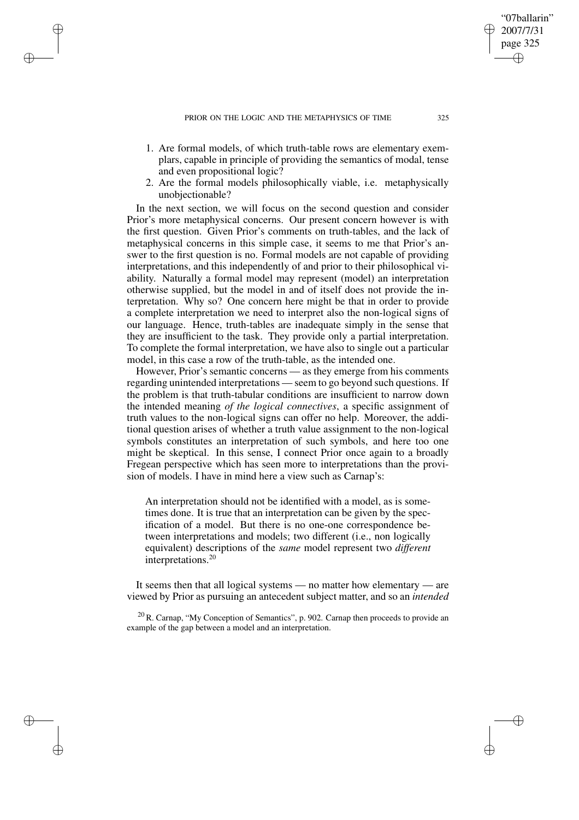✐

✐

✐

- 1. Are formal models, of which truth-table rows are elementary exemplars, capable in principle of providing the semantics of modal, tense and even propositional logic?
- 2. Are the formal models philosophically viable, i.e. metaphysically unobjectionable?

In the next section, we will focus on the second question and consider Prior's more metaphysical concerns. Our present concern however is with the first question. Given Prior's comments on truth-tables, and the lack of metaphysical concerns in this simple case, it seems to me that Prior's answer to the first question is no. Formal models are not capable of providing interpretations, and this independently of and prior to their philosophical viability. Naturally a formal model may represent (model) an interpretation otherwise supplied, but the model in and of itself does not provide the interpretation. Why so? One concern here might be that in order to provide a complete interpretation we need to interpret also the non-logical signs of our language. Hence, truth-tables are inadequate simply in the sense that they are insufficient to the task. They provide only a partial interpretation. To complete the formal interpretation, we have also to single out a particular model, in this case a row of the truth-table, as the intended one.

However, Prior's semantic concerns — as they emerge from his comments regarding unintended interpretations — seem to go beyond such questions. If the problem is that truth-tabular conditions are insufficient to narrow down the intended meaning *of the logical connectives*, a specific assignment of truth values to the non-logical signs can offer no help. Moreover, the additional question arises of whether a truth value assignment to the non-logical symbols constitutes an interpretation of such symbols, and here too one might be skeptical. In this sense, I connect Prior once again to a broadly Fregean perspective which has seen more to interpretations than the provision of models. I have in mind here a view such as Carnap's:

An interpretation should not be identified with a model, as is sometimes done. It is true that an interpretation can be given by the specification of a model. But there is no one-one correspondence between interpretations and models; two different (i.e., non logically equivalent) descriptions of the *same* model represent two *different* interpretations.<sup>20</sup>

It seems then that all logical systems — no matter how elementary — are viewed by Prior as pursuing an antecedent subject matter, and so an *intended*

 $^{20}$  R. Carnap, "My Conception of Semantics", p. 902. Carnap then proceeds to provide an example of the gap between a model and an interpretation.

"07ballarin" 2007/7/31 page 325

✐

✐

✐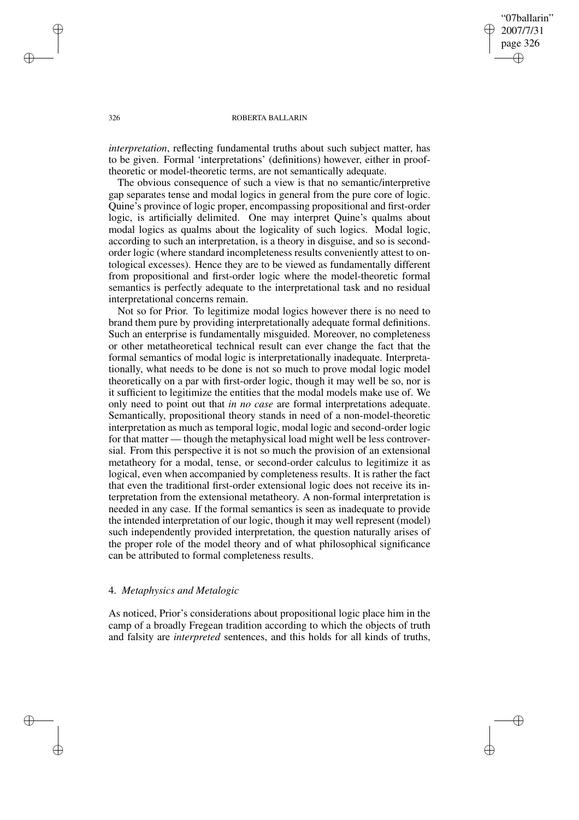"07ballarin" 2007/7/31 page 326 ✐ ✐

✐

✐

### 326 ROBERTA BALLARIN

*interpretation*, reflecting fundamental truths about such subject matter, has to be given. Formal 'interpretations' (definitions) however, either in prooftheoretic or model-theoretic terms, are not semantically adequate.

The obvious consequence of such a view is that no semantic/interpretive gap separates tense and modal logics in general from the pure core of logic. Quine's province of logic proper, encompassing propositional and first-order logic, is artificially delimited. One may interpret Quine's qualms about modal logics as qualms about the logicality of such logics. Modal logic, according to such an interpretation, is a theory in disguise, and so is secondorder logic (where standard incompleteness results conveniently attest to ontological excesses). Hence they are to be viewed as fundamentally different from propositional and first-order logic where the model-theoretic formal semantics is perfectly adequate to the interpretational task and no residual interpretational concerns remain.

Not so for Prior. To legitimize modal logics however there is no need to brand them pure by providing interpretationally adequate formal definitions. Such an enterprise is fundamentally misguided. Moreover, no completeness or other metatheoretical technical result can ever change the fact that the formal semantics of modal logic is interpretationally inadequate. Interpretationally, what needs to be done is not so much to prove modal logic model theoretically on a par with first-order logic, though it may well be so, nor is it sufficient to legitimize the entities that the modal models make use of. We only need to point out that *in no case* are formal interpretations adequate. Semantically, propositional theory stands in need of a non-model-theoretic interpretation as much as temporal logic, modal logic and second-order logic for that matter — though the metaphysical load might well be less controversial. From this perspective it is not so much the provision of an extensional metatheory for a modal, tense, or second-order calculus to legitimize it as logical, even when accompanied by completeness results. It is rather the fact that even the traditional first-order extensional logic does not receive its interpretation from the extensional metatheory. A non-formal interpretation is needed in any case. If the formal semantics is seen as inadequate to provide the intended interpretation of our logic, though it may well represent (model) such independently provided interpretation, the question naturally arises of the proper role of the model theory and of what philosophical significance can be attributed to formal completeness results.

# 4. *Metaphysics and Metalogic*

As noticed, Prior's considerations about propositional logic place him in the camp of a broadly Fregean tradition according to which the objects of truth and falsity are *interpreted* sentences, and this holds for all kinds of truths,

✐

✐

✐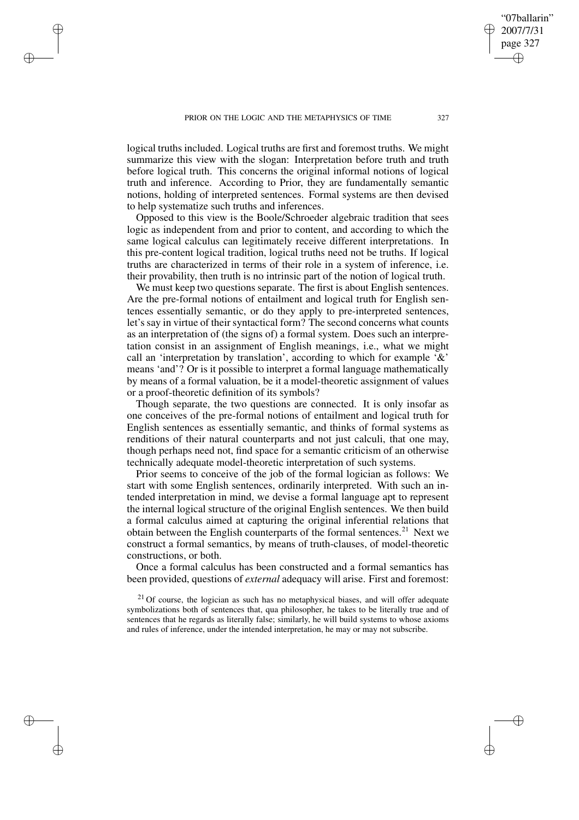✐

✐

✐

logical truths included. Logical truths are first and foremost truths. We might summarize this view with the slogan: Interpretation before truth and truth before logical truth. This concerns the original informal notions of logical truth and inference. According to Prior, they are fundamentally semantic notions, holding of interpreted sentences. Formal systems are then devised to help systematize such truths and inferences.

Opposed to this view is the Boole/Schroeder algebraic tradition that sees logic as independent from and prior to content, and according to which the same logical calculus can legitimately receive different interpretations. In this pre-content logical tradition, logical truths need not be truths. If logical truths are characterized in terms of their role in a system of inference, i.e. their provability, then truth is no intrinsic part of the notion of logical truth.

We must keep two questions separate. The first is about English sentences. Are the pre-formal notions of entailment and logical truth for English sentences essentially semantic, or do they apply to pre-interpreted sentences, let's say in virtue of their syntactical form? The second concerns what counts as an interpretation of (the signs of) a formal system. Does such an interpretation consist in an assignment of English meanings, i.e., what we might call an 'interpretation by translation', according to which for example  $\&i$ . means 'and'? Or is it possible to interpret a formal language mathematically by means of a formal valuation, be it a model-theoretic assignment of values or a proof-theoretic definition of its symbols?

Though separate, the two questions are connected. It is only insofar as one conceives of the pre-formal notions of entailment and logical truth for English sentences as essentially semantic, and thinks of formal systems as renditions of their natural counterparts and not just calculi, that one may, though perhaps need not, find space for a semantic criticism of an otherwise technically adequate model-theoretic interpretation of such systems.

Prior seems to conceive of the job of the formal logician as follows: We start with some English sentences, ordinarily interpreted. With such an intended interpretation in mind, we devise a formal language apt to represent the internal logical structure of the original English sentences. We then build a formal calculus aimed at capturing the original inferential relations that obtain between the English counterparts of the formal sentences.<sup>21</sup> Next we construct a formal semantics, by means of truth-clauses, of model-theoretic constructions, or both.

Once a formal calculus has been constructed and a formal semantics has been provided, questions of *external* adequacy will arise. First and foremost:

 $21$  Of course, the logician as such has no metaphysical biases, and will offer adequate symbolizations both of sentences that, qua philosopher, he takes to be literally true and of sentences that he regards as literally false; similarly, he will build systems to whose axioms and rules of inference, under the intended interpretation, he may or may not subscribe.

"07ballarin" 2007/7/31 page 327

✐

✐

✐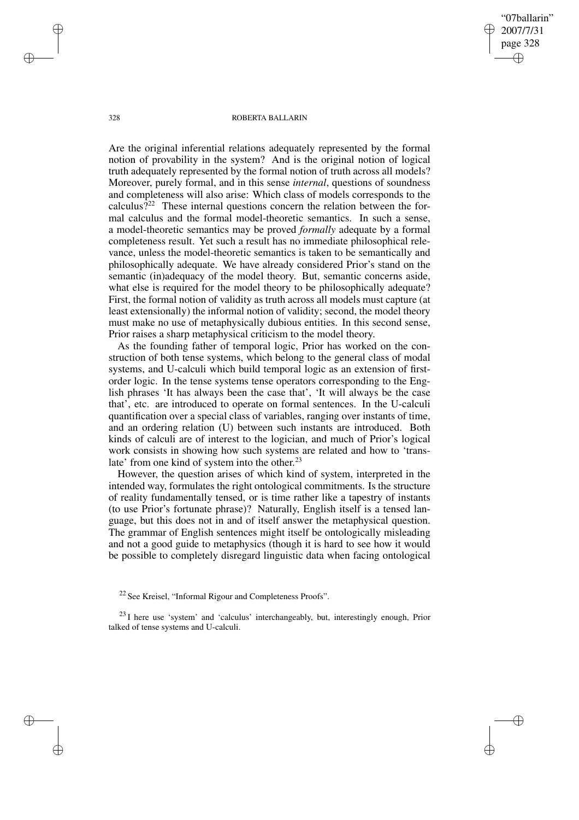"07ballarin" 2007/7/31 page 328 ✐ ✐

✐

✐

#### 328 ROBERTA BALLARIN

Are the original inferential relations adequately represented by the formal notion of provability in the system? And is the original notion of logical truth adequately represented by the formal notion of truth across all models? Moreover, purely formal, and in this sense *internal*, questions of soundness and completeness will also arise: Which class of models corresponds to the calculus?<sup>22</sup> These internal questions concern the relation between the formal calculus and the formal model-theoretic semantics. In such a sense, a model-theoretic semantics may be proved *formally* adequate by a formal completeness result. Yet such a result has no immediate philosophical relevance, unless the model-theoretic semantics is taken to be semantically and philosophically adequate. We have already considered Prior's stand on the semantic (in)adequacy of the model theory. But, semantic concerns aside, what else is required for the model theory to be philosophically adequate? First, the formal notion of validity as truth across all models must capture (at least extensionally) the informal notion of validity; second, the model theory must make no use of metaphysically dubious entities. In this second sense, Prior raises a sharp metaphysical criticism to the model theory.

As the founding father of temporal logic, Prior has worked on the construction of both tense systems, which belong to the general class of modal systems, and U-calculi which build temporal logic as an extension of firstorder logic. In the tense systems tense operators corresponding to the English phrases 'It has always been the case that', 'It will always be the case that', etc. are introduced to operate on formal sentences. In the U-calculi quantification over a special class of variables, ranging over instants of time, and an ordering relation (U) between such instants are introduced. Both kinds of calculi are of interest to the logician, and much of Prior's logical work consists in showing how such systems are related and how to 'translate' from one kind of system into the other.<sup>23</sup>

However, the question arises of which kind of system, interpreted in the intended way, formulates the right ontological commitments. Is the structure of reality fundamentally tensed, or is time rather like a tapestry of instants (to use Prior's fortunate phrase)? Naturally, English itself is a tensed language, but this does not in and of itself answer the metaphysical question. The grammar of English sentences might itself be ontologically misleading and not a good guide to metaphysics (though it is hard to see how it would be possible to completely disregard linguistic data when facing ontological

✐

✐

✐

<sup>22</sup> See Kreisel, "Informal Rigour and Completeness Proofs".

<sup>23</sup> I here use 'system' and 'calculus' interchangeably, but, interestingly enough, Prior talked of tense systems and U-calculi.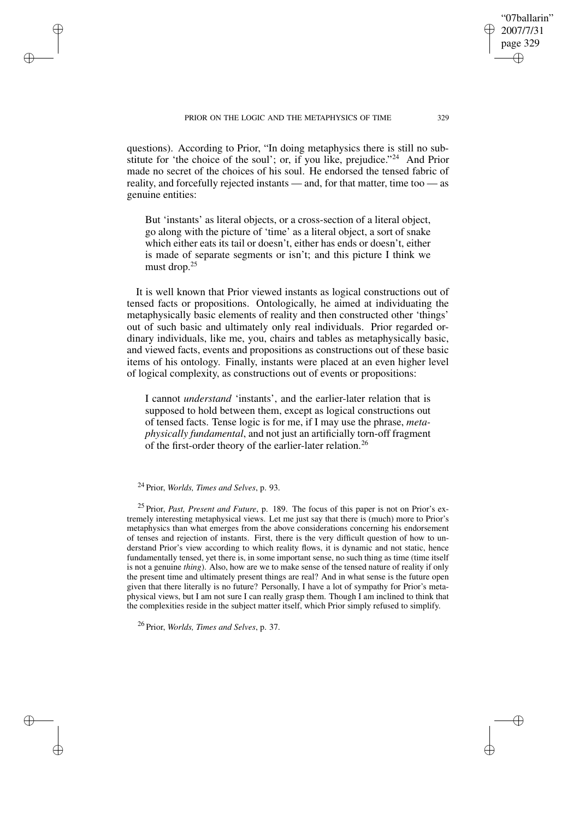questions). According to Prior, "In doing metaphysics there is still no substitute for 'the choice of the soul'; or, if you like, prejudice."<sup>24</sup> And Prior made no secret of the choices of his soul. He endorsed the tensed fabric of reality, and forcefully rejected instants — and, for that matter, time too — as genuine entities:

But 'instants' as literal objects, or a cross-section of a literal object, go along with the picture of 'time' as a literal object, a sort of snake which either eats its tail or doesn't, either has ends or doesn't, either is made of separate segments or isn't; and this picture I think we must drop.<sup>25</sup>

It is well known that Prior viewed instants as logical constructions out of tensed facts or propositions. Ontologically, he aimed at individuating the metaphysically basic elements of reality and then constructed other 'things' out of such basic and ultimately only real individuals. Prior regarded ordinary individuals, like me, you, chairs and tables as metaphysically basic, and viewed facts, events and propositions as constructions out of these basic items of his ontology. Finally, instants were placed at an even higher level of logical complexity, as constructions out of events or propositions:

I cannot *understand* 'instants', and the earlier-later relation that is supposed to hold between them, except as logical constructions out of tensed facts. Tense logic is for me, if I may use the phrase, *metaphysically fundamental*, and not just an artificially torn-off fragment of the first-order theory of the earlier-later relation.<sup>26</sup>

# <sup>24</sup> Prior, *Worlds, Times and Selves*, p. 93.

✐

✐

✐

✐

<sup>25</sup> Prior, *Past, Present and Future*, p. 189. The focus of this paper is not on Prior's extremely interesting metaphysical views. Let me just say that there is (much) more to Prior's metaphysics than what emerges from the above considerations concerning his endorsement of tenses and rejection of instants. First, there is the very difficult question of how to understand Prior's view according to which reality flows, it is dynamic and not static, hence fundamentally tensed, yet there is, in some important sense, no such thing as time (time itself is not a genuine *thing*). Also, how are we to make sense of the tensed nature of reality if only the present time and ultimately present things are real? And in what sense is the future open given that there literally is no future? Personally, I have a lot of sympathy for Prior's metaphysical views, but I am not sure I can really grasp them. Though I am inclined to think that the complexities reside in the subject matter itself, which Prior simply refused to simplify.

<sup>26</sup> Prior, *Worlds, Times and Selves*, p. 37.

"07ballarin" 2007/7/31 page 329

✐

✐

✐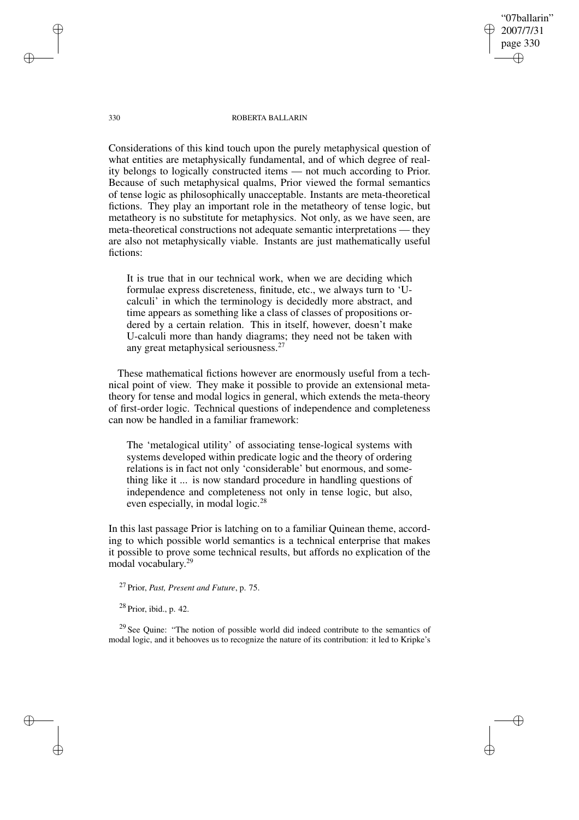"07ballarin" 2007/7/31 page 330 ✐ ✐

✐

✐

#### 330 ROBERTA BALLARIN

Considerations of this kind touch upon the purely metaphysical question of what entities are metaphysically fundamental, and of which degree of reality belongs to logically constructed items — not much according to Prior. Because of such metaphysical qualms, Prior viewed the formal semantics of tense logic as philosophically unacceptable. Instants are meta-theoretical fictions. They play an important role in the metatheory of tense logic, but metatheory is no substitute for metaphysics. Not only, as we have seen, are meta-theoretical constructions not adequate semantic interpretations — they are also not metaphysically viable. Instants are just mathematically useful fictions:

It is true that in our technical work, when we are deciding which formulae express discreteness, finitude, etc., we always turn to 'Ucalculi' in which the terminology is decidedly more abstract, and time appears as something like a class of classes of propositions ordered by a certain relation. This in itself, however, doesn't make U-calculi more than handy diagrams; they need not be taken with any great metaphysical seriousness.<sup>27</sup>

These mathematical fictions however are enormously useful from a technical point of view. They make it possible to provide an extensional metatheory for tense and modal logics in general, which extends the meta-theory of first-order logic. Technical questions of independence and completeness can now be handled in a familiar framework:

The 'metalogical utility' of associating tense-logical systems with systems developed within predicate logic and the theory of ordering relations is in fact not only 'considerable' but enormous, and something like it ... is now standard procedure in handling questions of independence and completeness not only in tense logic, but also, even especially, in modal logic.<sup>28</sup>

In this last passage Prior is latching on to a familiar Quinean theme, according to which possible world semantics is a technical enterprise that makes it possible to prove some technical results, but affords no explication of the modal vocabulary. 29

<sup>27</sup> Prior, *Past, Present and Future*, p. 75.

 $28$  Prior, ibid., p. 42.

<sup>29</sup> See Quine: "The notion of possible world did indeed contribute to the semantics of modal logic, and it behooves us to recognize the nature of its contribution: it led to Kripke's

✐

✐

✐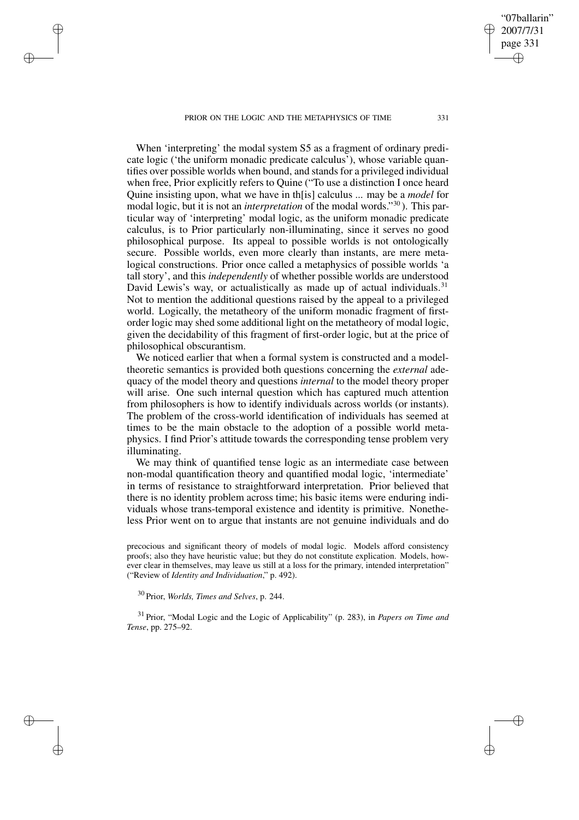PRIOR ON THE LOGIC AND THE METAPHYSICS OF TIME 331

✐

✐

✐

✐

When 'interpreting' the modal system S5 as a fragment of ordinary predicate logic ('the uniform monadic predicate calculus'), whose variable quantifies over possible worlds when bound, and stands for a privileged individual when free, Prior explicitly refers to Quine ("To use a distinction I once heard Quine insisting upon, what we have in th[is] calculus ... may be a *model* for modal logic, but it is not an *interpretation* of the modal words." <sup>30</sup> ). This particular way of 'interpreting' modal logic, as the uniform monadic predicate calculus, is to Prior particularly non-illuminating, since it serves no good philosophical purpose. Its appeal to possible worlds is not ontologically secure. Possible worlds, even more clearly than instants, are mere metalogical constructions. Prior once called a metaphysics of possible worlds 'a tall story', and this *independently* of whether possible worlds are understood David Lewis's way, or actualistically as made up of actual individuals.<sup>31</sup> Not to mention the additional questions raised by the appeal to a privileged world. Logically, the metatheory of the uniform monadic fragment of firstorder logic may shed some additional light on the metatheory of modal logic, given the decidability of this fragment of first-order logic, but at the price of philosophical obscurantism.

We noticed earlier that when a formal system is constructed and a modeltheoretic semantics is provided both questions concerning the *external* adequacy of the model theory and questions *internal* to the model theory proper will arise. One such internal question which has captured much attention from philosophers is how to identify individuals across worlds (or instants). The problem of the cross-world identification of individuals has seemed at times to be the main obstacle to the adoption of a possible world metaphysics. I find Prior's attitude towards the corresponding tense problem very illuminating.

We may think of quantified tense logic as an intermediate case between non-modal quantification theory and quantified modal logic, 'intermediate' in terms of resistance to straightforward interpretation. Prior believed that there is no identity problem across time; his basic items were enduring individuals whose trans-temporal existence and identity is primitive. Nonetheless Prior went on to argue that instants are not genuine individuals and do

precocious and significant theory of models of modal logic. Models afford consistency proofs; also they have heuristic value; but they do not constitute explication. Models, however clear in themselves, may leave us still at a loss for the primary, intended interpretation" ("Review of *Identity and Individuation*," p. 492).

<sup>30</sup> Prior, *Worlds, Times and Selves*, p. 244.

<sup>31</sup> Prior, "Modal Logic and the Logic of Applicability" (p. 283), in *Papers on Time and Tense*, pp. 275–92.

"07ballarin" 2007/7/31 page 331

✐

✐

✐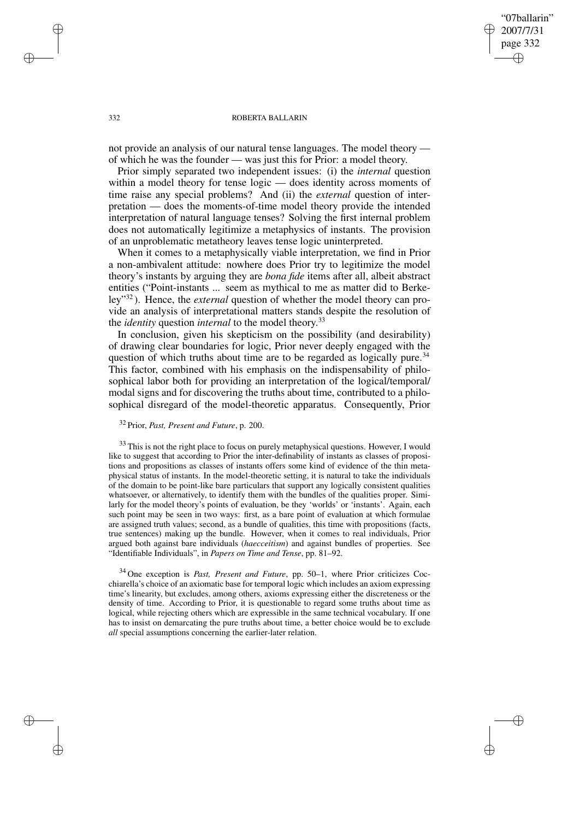"07ballarin" 2007/7/31 page 332 ✐ ✐

✐

✐

#### 332 ROBERTA BALLARIN

not provide an analysis of our natural tense languages. The model theory of which he was the founder — was just this for Prior: a model theory.

Prior simply separated two independent issues: (i) the *internal* question within a model theory for tense logic — does identity across moments of time raise any special problems? And (ii) the *external* question of interpretation — does the moments-of-time model theory provide the intended interpretation of natural language tenses? Solving the first internal problem does not automatically legitimize a metaphysics of instants. The provision of an unproblematic metatheory leaves tense logic uninterpreted.

When it comes to a metaphysically viable interpretation, we find in Prior a non-ambivalent attitude: nowhere does Prior try to legitimize the model theory's instants by arguing they are *bona fide* items after all, albeit abstract entities ("Point-instants ... seem as mythical to me as matter did to Berkeley"<sup>32</sup> ). Hence, the *external* question of whether the model theory can provide an analysis of interpretational matters stands despite the resolution of the *identity* question *internal* to the model theory. 33

In conclusion, given his skepticism on the possibility (and desirability) of drawing clear boundaries for logic, Prior never deeply engaged with the question of which truths about time are to be regarded as logically pure.<sup>34</sup> This factor, combined with his emphasis on the indispensability of philosophical labor both for providing an interpretation of the logical/temporal/ modal signs and for discovering the truths about time, contributed to a philosophical disregard of the model-theoretic apparatus. Consequently, Prior

<sup>32</sup> Prior, *Past, Present and Future*, p. 200.

 $33$  This is not the right place to focus on purely metaphysical questions. However, I would like to suggest that according to Prior the inter-definability of instants as classes of propositions and propositions as classes of instants offers some kind of evidence of the thin metaphysical status of instants. In the model-theoretic setting, it is natural to take the individuals of the domain to be point-like bare particulars that support any logically consistent qualities whatsoever, or alternatively, to identify them with the bundles of the qualities proper. Similarly for the model theory's points of evaluation, be they 'worlds' or 'instants'. Again, each such point may be seen in two ways: first, as a bare point of evaluation at which formulae are assigned truth values; second, as a bundle of qualities, this time with propositions (facts, true sentences) making up the bundle. However, when it comes to real individuals, Prior argued both against bare individuals (*haecceitism*) and against bundles of properties. See "Identifiable Individuals", in *Papers on Time and Tense*, pp. 81–92.

<sup>34</sup> One exception is *Past, Present and Future*, pp. 50–1, where Prior criticizes Cocchiarella's choice of an axiomatic base for temporal logic which includes an axiom expressing time's linearity, but excludes, among others, axioms expressing either the discreteness or the density of time. According to Prior, it is questionable to regard some truths about time as logical, while rejecting others which are expressible in the same technical vocabulary. If one has to insist on demarcating the pure truths about time, a better choice would be to exclude *all* special assumptions concerning the earlier-later relation.

✐

✐

✐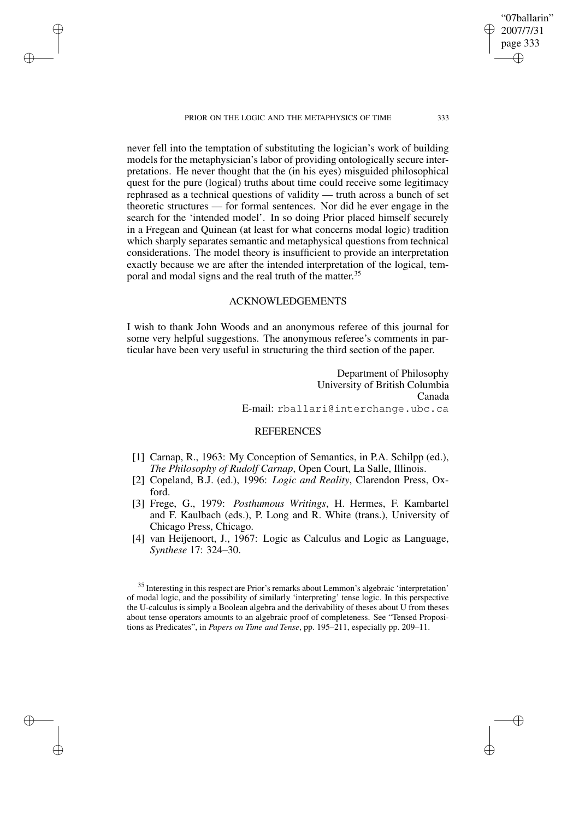PRIOR ON THE LOGIC AND THE METAPHYSICS OF TIME 333

✐

✐

✐

✐

page 333 ✐

✐

"07ballarin" 2007/7/31

✐

✐

never fell into the temptation of substituting the logician's work of building models for the metaphysician's labor of providing ontologically secure interpretations. He never thought that the (in his eyes) misguided philosophical quest for the pure (logical) truths about time could receive some legitimacy rephrased as a technical questions of validity — truth across a bunch of set theoretic structures — for formal sentences. Nor did he ever engage in the search for the 'intended model'. In so doing Prior placed himself securely in a Fregean and Quinean (at least for what concerns modal logic) tradition which sharply separates semantic and metaphysical questions from technical considerations. The model theory is insufficient to provide an interpretation exactly because we are after the intended interpretation of the logical, temporal and modal signs and the real truth of the matter.<sup>35</sup>

# ACKNOWLEDGEMENTS

I wish to thank John Woods and an anonymous referee of this journal for some very helpful suggestions. The anonymous referee's comments in particular have been very useful in structuring the third section of the paper.

> Department of Philosophy University of British Columbia Canada E-mail: rballari@interchange.ubc.ca

# REFERENCES

- [1] Carnap, R., 1963: My Conception of Semantics, in P.A. Schilpp (ed.), *The Philosophy of Rudolf Carnap*, Open Court, La Salle, Illinois.
- [2] Copeland, B.J. (ed.), 1996: *Logic and Reality*, Clarendon Press, Oxford.
- [3] Frege, G., 1979: *Posthumous Writings*, H. Hermes, F. Kambartel and F. Kaulbach (eds.), P. Long and R. White (trans.), University of Chicago Press, Chicago.
- [4] van Heijenoort, J., 1967: Logic as Calculus and Logic as Language, *Synthese* 17: 324–30.

 $35$  Interesting in this respect are Prior's remarks about Lemmon's algebraic 'interpretation' of modal logic, and the possibility of similarly 'interpreting' tense logic. In this perspective the U-calculus is simply a Boolean algebra and the derivability of theses about U from theses about tense operators amounts to an algebraic proof of completeness. See "Tensed Propositions as Predicates", in *Papers on Time and Tense*, pp. 195–211, especially pp. 209–11.